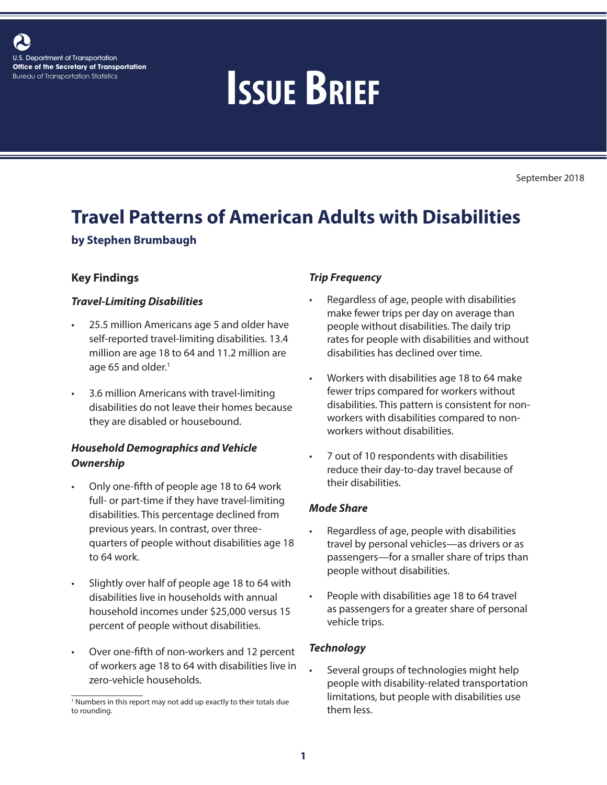

# Bureau of Transportation Statistics **ISSUE BRIEF**

September 2018

# **Travel Patterns of American Adults with Disabilities**

#### **by Stephen Brumbaugh**

#### **Key Findings**

#### *Travel-Limiting Disabilities*

- 25.5 million Americans age 5 and older have self-reported travel-limiting disabilities. 13.4 million are age 18 to 64 and 11.2 million are age 65 and older.<sup>1</sup>
- 3.6 million Americans with travel-limiting disabilities do not leave their homes because they are disabled or housebound.

# *Household Demographics and Vehicle Ownership*

- Only one-fifth of people age 18 to 64 work full- or part-time if they have travel-limiting disabilities. This percentage declined from previous years. In contrast, over threequarters of people without disabilities age 18 to 64 work.
- Slightly over half of people age 18 to 64 with disabilities live in households with annual household incomes under \$25,000 versus 15 percent of people without disabilities.
- Over one-fifth of non-workers and 12 percent of workers age 18 to 64 with disabilities live in zero-vehicle households.

#### *Trip Frequency*

- Regardless of age, people with disabilities make fewer trips per day on average than people without disabilities. The daily trip rates for people with disabilities and without disabilities has declined over time.
- Workers with disabilities age 18 to 64 make fewer trips compared for workers without disabilities. This pattern is consistent for nonworkers with disabilities compared to nonworkers without disabilities.
- 7 out of 10 respondents with disabilities reduce their day-to-day travel because of their disabilities.

#### *Mode Share*

- Regardless of age, people with disabilities travel by personal vehicles—as drivers or as passengers—for a smaller share of trips than people without disabilities.
- People with disabilities age 18 to 64 travel as passengers for a greater share of personal vehicle trips.

#### *Technology*

Several groups of technologies might help people with disability-related transportation limitations, but people with disabilities use them less.

<sup>&</sup>lt;sup>1</sup> Numbers in this report may not add up exactly to their totals due to rounding.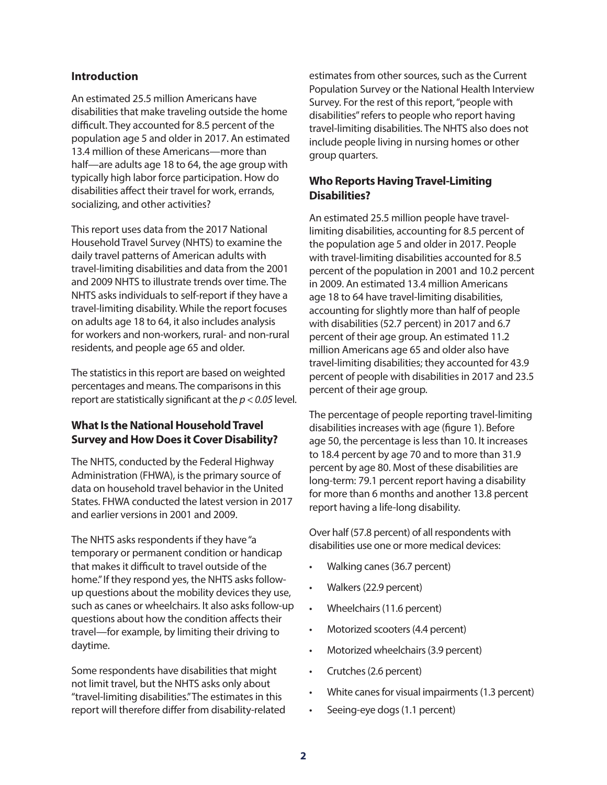#### **Introduction**

An estimated 25.5 million Americans have disabilities that make traveling outside the home difficult. They accounted for 8.5 percent of the population age 5 and older in 2017. An estimated 13.4 million of these Americans—more than half—are adults age 18 to 64, the age group with typically high labor force participation. How do disabilities affect their travel for work, errands, socializing, and other activities?

This report uses data from the 2017 National Household Travel Survey (NHTS) to examine the daily travel patterns of American adults with travel-limiting disabilities and data from the 2001 and 2009 NHTS to illustrate trends over time. The NHTS asks individuals to self-report if they have a travel-limiting disability. While the report focuses on adults age 18 to 64, it also includes analysis for workers and non-workers, rural- and non-rural residents, and people age 65 and older.

The statistics in this report are based on weighted percentages and means. The comparisons in this report are statistically significant at the *p < 0.05* level.

### **What Is the National Household Travel Survey and How Does it Cover Disability?**

The NHTS, conducted by the Federal Highway Administration (FHWA), is the primary source of data on household travel behavior in the United States. FHWA conducted the latest version in 2017 and earlier versions in 2001 and 2009.

The NHTS asks respondents if they have "a temporary or permanent condition or handicap that makes it difficult to travel outside of the home." If they respond yes, the NHTS asks followup questions about the mobility devices they use, such as canes or wheelchairs. It also asks follow-up questions about how the condition affects their travel—for example, by limiting their driving to daytime.

Some respondents have disabilities that might not limit travel, but the NHTS asks only about "travel-limiting disabilities." The estimates in this report will therefore differ from disability-related estimates from other sources, such as the Current Population Survey or the National Health Interview Survey. For the rest of this report, "people with disabilities" refers to people who report having travel-limiting disabilities. The NHTS also does not include people living in nursing homes or other group quarters.

#### **Who Reports Having Travel-Limiting Disabilities?**

An estimated 25.5 million people have travellimiting disabilities, accounting for 8.5 percent of the population age 5 and older in 2017. People with travel-limiting disabilities accounted for 8.5 percent of the population in 2001 and 10.2 percent in 2009. An estimated 13.4 million Americans age 18 to 64 have travel-limiting disabilities, accounting for slightly more than half of people with disabilities (52.7 percent) in 2017 and 6.7 percent of their age group. An estimated 11.2 million Americans age 65 and older also have travel-limiting disabilities; they accounted for 43.9 percent of people with disabilities in 2017 and 23.5 percent of their age group.

The percentage of people reporting travel-limiting disabilities increases with age (figure 1). Before age 50, the percentage is less than 10. It increases to 18.4 percent by age 70 and to more than 31.9 percent by age 80. Most of these disabilities are long-term: 79.1 percent report having a disability for more than 6 months and another 13.8 percent report having a life-long disability.

Over half (57.8 percent) of all respondents with disabilities use one or more medical devices:

- Walking canes (36.7 percent)
- Walkers (22.9 percent)
- Wheelchairs (11.6 percent)
- Motorized scooters (4.4 percent)
- Motorized wheelchairs (3.9 percent)
- Crutches (2.6 percent)
- White canes for visual impairments (1.3 percent)
- Seeing-eye dogs (1.1 percent)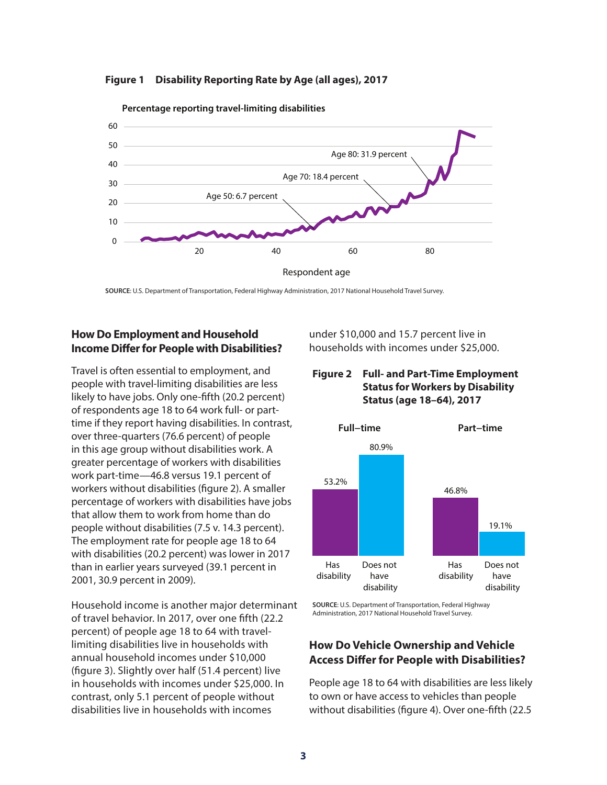



**Percentage reporting travel-limiting disabilities**

**SOURCE**: U.S. Department of Transportation, Federal Highway Administration, 2017 National Household Travel Survey.

#### **How Do Employment and Household Income Differ for People with Disabilities?**

Travel is often essential to employment, and people with travel-limiting disabilities are less likely to have jobs. Only one-fifth (20.2 percent) of respondents age 18 to 64 work full- or parttime if they report having disabilities. In contrast, over three-quarters (76.6 percent) of people in this age group without disabilities work. A greater percentage of workers with disabilities work part-time—46.8 versus 19.1 percent of workers without disabilities (figure 2). A smaller percentage of workers with disabilities have jobs that allow them to work from home than do people without disabilities (7.5 v. 14.3 percent). The employment rate for people age 18 to 64 with disabilities (20.2 percent) was lower in 2017 than in earlier years surveyed (39.1 percent in 2001, 30.9 percent in 2009).

Household income is another major determinant of travel behavior. In 2017, over one fifth (22.2 percent) of people age 18 to 64 with travellimiting disabilities live in households with annual household incomes under \$10,000 (figure 3). Slightly over half (51.4 percent) live in households with incomes under \$25,000. In contrast, only 5.1 percent of people without disabilities live in households with incomes

under \$10,000 and 15.7 percent live in households with incomes under \$25,000.

#### **Figure 2 Full- and Part-Time Employment Status for Workers by Disability Status (age 18–64), 2017**



**SOURCE**: U.S. Department of Transportation, Federal Highway Administration, 2017 National Household Travel Survey.

# **How Do Vehicle Ownership and Vehicle Access Differ for People with Disabilities?**

People age 18 to 64 with disabilities are less likely to own or have access to vehicles than people without disabilities (figure 4). Over one-fifth (22.5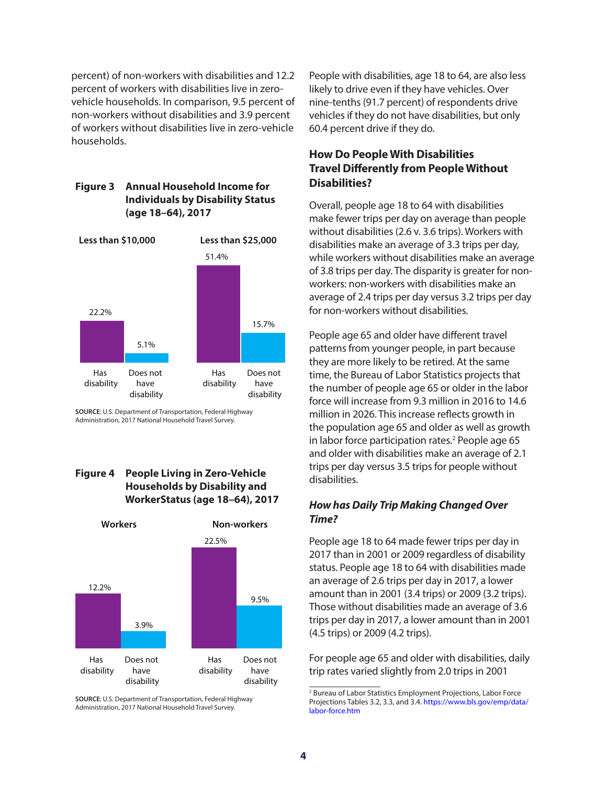percent) of non-workers with disabilities and 12.2 percent of workers with disabilities live in zerovehicle households. In comparison, 9.5 percent of non-workers without disabilities and 3.9 percent of workers without disabilities live in zero-vehicle households.

#### **Figure 3 Annual Household Income for Individuals by Disability Status (age 18–64), 2017**



**SOURCE**: U.S. Department of Transportation, Federal Highway Administration, 2017 National Household Travel Survey.

#### **Figure 4 People Living in Zero-Vehicle Households by Disability and WorkerStatus (age 18–64), 2017**



**SOURCE**: U.S. Department of Transportation, Federal Highway Administration, 2017 National Household Travel Survey.

People with disabilities, age 18 to 64, are also less likely to drive even if they have vehicles. Over nine-tenths (91.7 percent) of respondents drive vehicles if they do not have disabilities, but only 60.4 percent drive if they do.

# **How Do People With Disabilities Travel Differently from People Without Disabilities?**

Overall, people age 18 to 64 with disabilities make fewer trips per day on average than people without disabilities (2.6 v. 3.6 trips). Workers with disabilities make an average of 3.3 trips per day, while workers without disabilities make an average of 3.8 trips per day. The disparity is greater for nonworkers: non-workers with disabilities make an average of 2.4 trips per day versus 3.2 trips per day for non-workers without disabilities.

People age 65 and older have different travel patterns from younger people, in part because they are more likely to be retired. At the same time, the Bureau of Labor Statistics projects that the number of people age 65 or older in the labor force will increase from 9.3 million in 2016 to 14.6 million in 2026. This increase reflects growth in the population age 65 and older as well as growth in labor force participation rates.<sup>2</sup> People age 65 and older with disabilities make an average of 2.1 trips per day versus 3.5 trips for people without disabilities.

#### *How has Daily Trip Making Changed Over Time?*

People age 18 to 64 made fewer trips per day in 2017 than in 2001 or 2009 regardless of disability status. People age 18 to 64 with disabilities made an average of 2.6 trips per day in 2017, a lower amount than in 2001 (3.4 trips) or 2009 (3.2 trips). Those without disabilities made an average of 3.6 trips per day in 2017, a lower amount than in 2001 (4.5 trips) or 2009 (4.2 trips).

For people age 65 and older with disabilities, daily trip rates varied slightly from 2.0 trips in 2001

<sup>2</sup> Bureau of Labor Statistics Employment Projections, Labor Force Projections Tables 3.2, 3.3, and 3.4. [https://www.bls.gov/emp/data/](https://www.bls.gov/emp/data/labor-force.htm) [labor-force.htm](https://www.bls.gov/emp/data/labor-force.htm)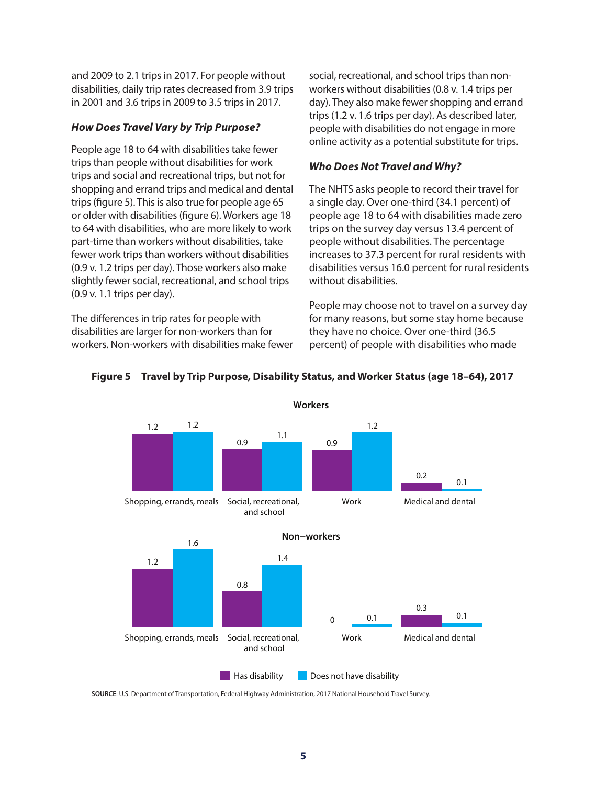and 2009 to 2.1 trips in 2017. For people without disabilities, daily trip rates decreased from 3.9 trips in 2001 and 3.6 trips in 2009 to 3.5 trips in 2017.

#### *How Does Travel Vary by Trip Purpose?*

People age 18 to 64 with disabilities take fewer trips than people without disabilities for work trips and social and recreational trips, but not for shopping and errand trips and medical and dental trips (figure 5). This is also true for people age 65 or older with disabilities (figure 6). Workers age 18 to 64 with disabilities, who are more likely to work part-time than workers without disabilities, take fewer work trips than workers without disabilities (0.9 v. 1.2 trips per day). Those workers also make slightly fewer social, recreational, and school trips (0.9 v. 1.1 trips per day).

The differences in trip rates for people with disabilities are larger for non-workers than for workers. Non-workers with disabilities make fewer social, recreational, and school trips than nonworkers without disabilities (0.8 v. 1.4 trips per day). They also make fewer shopping and errand trips (1.2 v. 1.6 trips per day). As described later, people with disabilities do not engage in more online activity as a potential substitute for trips.

#### *Who Does Not Travel and Why?*

The NHTS asks people to record their travel for a single day. Over one-third (34.1 percent) of people age 18 to 64 with disabilities made zero trips on the survey day versus 13.4 percent of people without disabilities. The percentage increases to 37.3 percent for rural residents with disabilities versus 16.0 percent for rural residents without disabilities.

People may choose not to travel on a survey day for many reasons, but some stay home because they have no choice. Over one-third (36.5 percent) of people with disabilities who made



#### **Figure 5 Travel by Trip Purpose, Disability Status, and Worker Status (age 18–64), 2017**

**Workers**

**SOURCE**: U.S. Department of Transportation, Federal Highway Administration, 2017 National Household Travel Survey.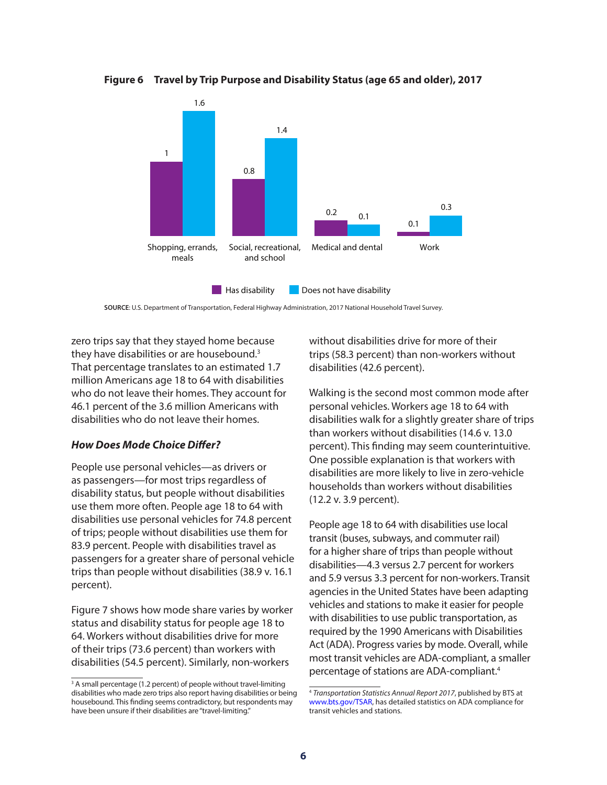**Figure 6 Travel by Trip Purpose and Disability Status (age 65 and older), 2017**



**SOURCE**: U.S. Department of Transportation, Federal Highway Administration, 2017 National Household Travel Survey.

zero trips say that they stayed home because they have disabilities or are housebound.<sup>3</sup> That percentage translates to an estimated 1.7 million Americans age 18 to 64 with disabilities who do not leave their homes. They account for 46.1 percent of the 3.6 million Americans with disabilities who do not leave their homes.

#### *How Does Mode Choice Differ?*

People use personal vehicles—as drivers or as passengers—for most trips regardless of disability status, but people without disabilities use them more often. People age 18 to 64 with disabilities use personal vehicles for 74.8 percent of trips; people without disabilities use them for 83.9 percent. People with disabilities travel as passengers for a greater share of personal vehicle trips than people without disabilities (38.9 v. 16.1 percent).

Figure 7 shows how mode share varies by worker status and disability status for people age 18 to 64. Workers without disabilities drive for more of their trips (73.6 percent) than workers with disabilities (54.5 percent). Similarly, non-workers

without disabilities drive for more of their trips (58.3 percent) than non-workers without disabilities (42.6 percent).

Walking is the second most common mode after personal vehicles. Workers age 18 to 64 with disabilities walk for a slightly greater share of trips than workers without disabilities (14.6 v. 13.0 percent). This finding may seem counterintuitive. One possible explanation is that workers with disabilities are more likely to live in zero-vehicle households than workers without disabilities (12.2 v. 3.9 percent).

People age 18 to 64 with disabilities use local transit (buses, subways, and commuter rail) for a higher share of trips than people without disabilities—4.3 versus 2.7 percent for workers and 5.9 versus 3.3 percent for non-workers. Transit agencies in the United States have been adapting vehicles and stations to make it easier for people with disabilities to use public transportation, as required by the 1990 Americans with Disabilities Act (ADA). Progress varies by mode. Overall, while most transit vehicles are ADA-compliant, a smaller percentage of stations are ADA-compliant.4

<sup>&</sup>lt;sup>3</sup> A small percentage (1.2 percent) of people without travel-limiting disabilities who made zero trips also report having disabilities or being housebound. This finding seems contradictory, but respondents may have been unsure if their disabilities are "travel-limiting."

<sup>4</sup> *Transportation Statistics Annual Report 2017*, published by BTS at [www.bts.gov/TSAR,](www.bts.gov/TSAR) has detailed statistics on ADA compliance for transit vehicles and stations.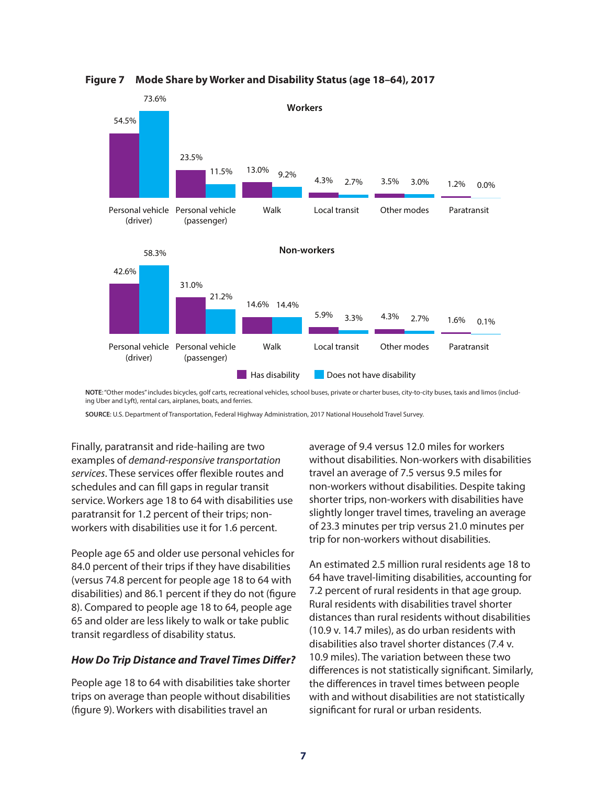

**Figure 7 Mode Share by Worker and Disability Status (age 18–64), 2017**

**NOTE**: "Other modes" includes bicycles, golf carts, recreational vehicles, school buses, private or charter buses, city-to-city buses, taxis and limos (including Uber and Lyft), rental cars, airplanes, boats, and ferries.

**SOURCE**: U.S. Department of Transportation, Federal Highway Administration, 2017 National Household Travel Survey.

Finally, paratransit and ride-hailing are two examples of *demand-responsive transportation services*. These services offer flexible routes and schedules and can fill gaps in regular transit service. Workers age 18 to 64 with disabilities use paratransit for 1.2 percent of their trips; nonworkers with disabilities use it for 1.6 percent.

People age 65 and older use personal vehicles for 84.0 percent of their trips if they have disabilities (versus 74.8 percent for people age 18 to 64 with disabilities) and 86.1 percent if they do not (figure 8). Compared to people age 18 to 64, people age 65 and older are less likely to walk or take public transit regardless of disability status.

#### *How Do Trip Distance and Travel Times Differ?*

People age 18 to 64 with disabilities take shorter trips on average than people without disabilities (figure 9). Workers with disabilities travel an

average of 9.4 versus 12.0 miles for workers without disabilities. Non-workers with disabilities travel an average of 7.5 versus 9.5 miles for non-workers without disabilities. Despite taking shorter trips, non-workers with disabilities have slightly longer travel times, traveling an average of 23.3 minutes per trip versus 21.0 minutes per trip for non-workers without disabilities.

An estimated 2.5 million rural residents age 18 to 64 have travel-limiting disabilities, accounting for 7.2 percent of rural residents in that age group. Rural residents with disabilities travel shorter distances than rural residents without disabilities (10.9 v. 14.7 miles), as do urban residents with disabilities also travel shorter distances (7.4 v. 10.9 miles). The variation between these two differences is not statistically significant. Similarly, the differences in travel times between people with and without disabilities are not statistically significant for rural or urban residents.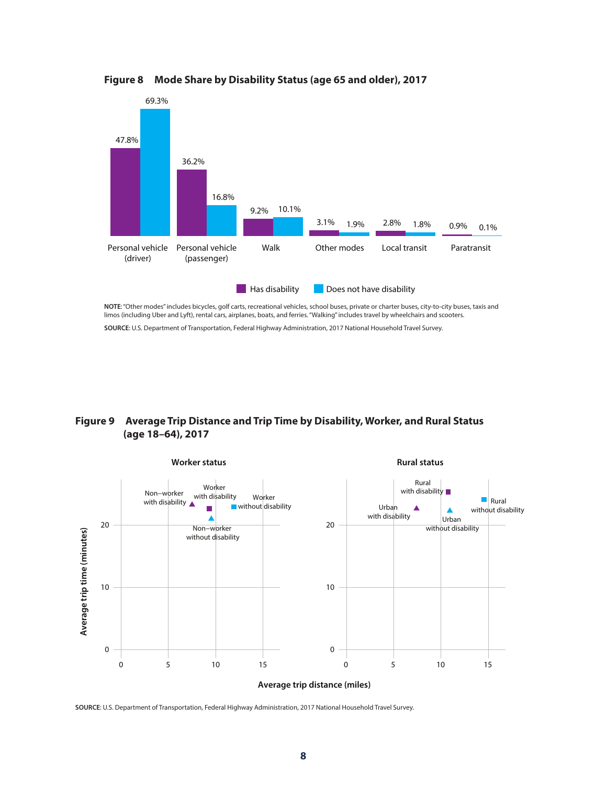

**Figure 8 Mode Share by Disability Status (age 65 and older), 2017**

**NOTE**: "Other modes" includes bicycles, golf carts, recreational vehicles, school buses, private or charter buses, city-to-city buses, taxis and limos (including Uber and Lyft), rental cars, airplanes, boats, and ferries. "Walking" includes travel by wheelchairs and scooters.

**SOURCE**: U.S. Department of Transportation, Federal Highway Administration, 2017 National Household Travel Survey.

#### **Figure 9 Average Trip Distance and Trip Time by Disability, Worker, and Rural Status (age 18–64), 2017**



**SOURCE**: U.S. Department of Transportation, Federal Highway Administration, 2017 National Household Travel Survey.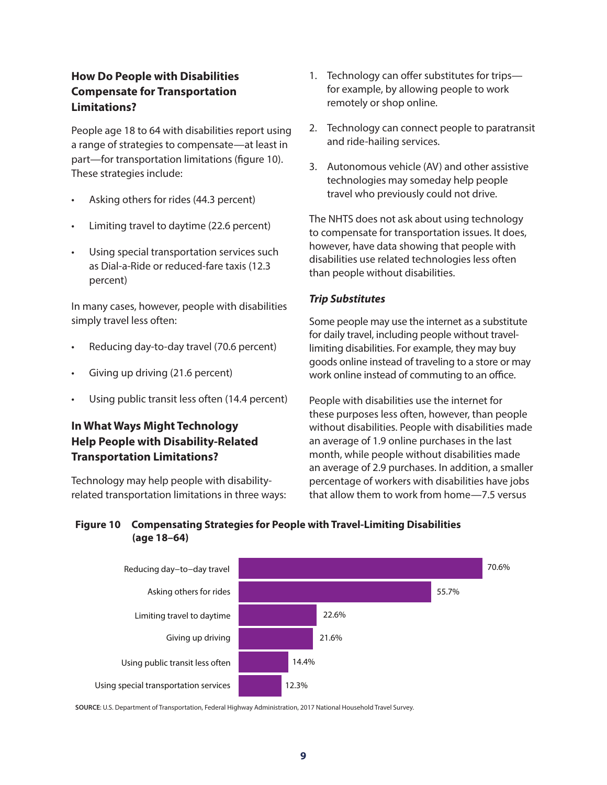# **How Do People with Disabilities Compensate for Transportation Limitations?**

People age 18 to 64 with disabilities report using a range of strategies to compensate—at least in part—for transportation limitations (figure 10). These strategies include:

- Asking others for rides (44.3 percent)
- Limiting travel to daytime (22.6 percent)
- Using special transportation services such as Dial-a-Ride or reduced-fare taxis (12.3 percent)

In many cases, however, people with disabilities simply travel less often:

- Reducing day-to-day travel (70.6 percent)
- Giving up driving (21.6 percent)
- Using public transit less often (14.4 percent)

# **In What Ways Might Technology Help People with Disability-Related Transportation Limitations?**

Technology may help people with disabilityrelated transportation limitations in three ways:

- 1. Technology can offer substitutes for trips for example, by allowing people to work remotely or shop online.
- 2. Technology can connect people to paratransit and ride-hailing services.
- 3. Autonomous vehicle (AV) and other assistive technologies may someday help people travel who previously could not drive.

The NHTS does not ask about using technology to compensate for transportation issues. It does, however, have data showing that people with disabilities use related technologies less often than people without disabilities.

#### *Trip Substitutes*

Some people may use the internet as a substitute for daily travel, including people without travellimiting disabilities. For example, they may buy goods online instead of traveling to a store or may work online instead of commuting to an office.

People with disabilities use the internet for these purposes less often, however, than people without disabilities. People with disabilities made an average of 1.9 online purchases in the last month, while people without disabilities made an average of 2.9 purchases. In addition, a smaller percentage of workers with disabilities have jobs that allow them to work from home—7.5 versus

#### **Figure 10 Compensating Strategies for People with Travel-Limiting Disabilities (age 18–64)**



**SOURCE**: U.S. Department of Transportation, Federal Highway Administration, 2017 National Household Travel Survey.